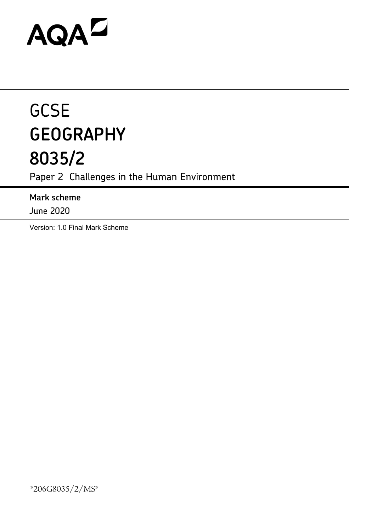# AQAD

# **GCSE GEOGRAPHY 8035/2**

Paper 2 Challenges in the Human Environment

**Mark scheme**

June 2020

Version: 1.0 Final Mark Scheme

\*206G8035/2/MS\*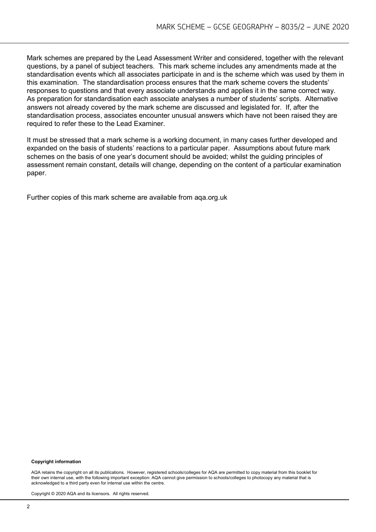Mark schemes are prepared by the Lead Assessment Writer and considered, together with the relevant questions, by a panel of subject teachers. This mark scheme includes any amendments made at the standardisation events which all associates participate in and is the scheme which was used by them in this examination. The standardisation process ensures that the mark scheme covers the students' responses to questions and that every associate understands and applies it in the same correct way. As preparation for standardisation each associate analyses a number of students' scripts. Alternative answers not already covered by the mark scheme are discussed and legislated for. If, after the standardisation process, associates encounter unusual answers which have not been raised they are required to refer these to the Lead Examiner.

It must be stressed that a mark scheme is a working document, in many cases further developed and expanded on the basis of students' reactions to a particular paper. Assumptions about future mark schemes on the basis of one year's document should be avoided; whilst the guiding principles of assessment remain constant, details will change, depending on the content of a particular examination paper.

Further copies of this mark scheme are available from aqa.org.uk

#### **Copyright information**

AQA retains the copyright on all its publications. However, registered schools/colleges for AQA are permitted to copy material from this booklet for their own internal use, with the following important exception: AQA cannot give permission to schools/colleges to photocopy any material that is acknowledged to a third party even for internal use within the centre.

Copyright © 2020 AQA and its licensors. All rights reserved.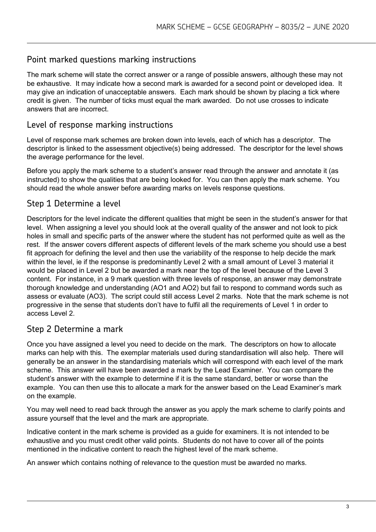### Point marked questions marking instructions

The mark scheme will state the correct answer or a range of possible answers, although these may not be exhaustive. It may indicate how a second mark is awarded for a second point or developed idea. It may give an indication of unacceptable answers. Each mark should be shown by placing a tick where credit is given. The number of ticks must equal the mark awarded. Do not use crosses to indicate answers that are incorrect.

#### Level of response marking instructions

Level of response mark schemes are broken down into levels, each of which has a descriptor. The descriptor is linked to the assessment objective(s) being addressed. The descriptor for the level shows the average performance for the level.

Before you apply the mark scheme to a student's answer read through the answer and annotate it (as instructed) to show the qualities that are being looked for. You can then apply the mark scheme. You should read the whole answer before awarding marks on levels response questions.

# Step 1 Determine a level

Descriptors for the level indicate the different qualities that might be seen in the student's answer for that level. When assigning a level you should look at the overall quality of the answer and not look to pick holes in small and specific parts of the answer where the student has not performed quite as well as the rest. If the answer covers different aspects of different levels of the mark scheme you should use a best fit approach for defining the level and then use the variability of the response to help decide the mark within the level, ie if the response is predominantly Level 2 with a small amount of Level 3 material it would be placed in Level 2 but be awarded a mark near the top of the level because of the Level 3 content. For instance, in a 9 mark question with three levels of response, an answer may demonstrate thorough knowledge and understanding (AO1 and AO2) but fail to respond to command words such as assess or evaluate (AO3). The script could still access Level 2 marks. Note that the mark scheme is not progressive in the sense that students don't have to fulfil all the requirements of Level 1 in order to access Level 2.

### Step 2 Determine a mark

Once you have assigned a level you need to decide on the mark. The descriptors on how to allocate marks can help with this. The exemplar materials used during standardisation will also help. There will generally be an answer in the standardising materials which will correspond with each level of the mark scheme. This answer will have been awarded a mark by the Lead Examiner. You can compare the student's answer with the example to determine if it is the same standard, better or worse than the example. You can then use this to allocate a mark for the answer based on the Lead Examiner's mark on the example.

You may well need to read back through the answer as you apply the mark scheme to clarify points and assure yourself that the level and the mark are appropriate.

Indicative content in the mark scheme is provided as a guide for examiners. It is not intended to be exhaustive and you must credit other valid points. Students do not have to cover all of the points mentioned in the indicative content to reach the highest level of the mark scheme.

An answer which contains nothing of relevance to the question must be awarded no marks.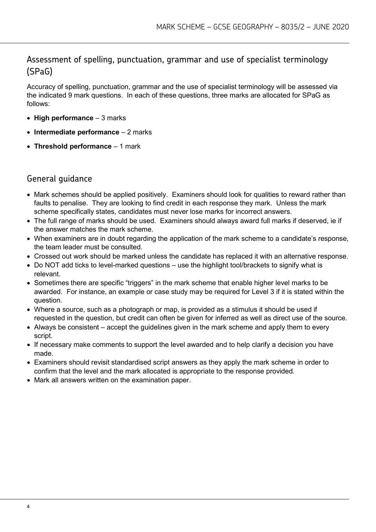# Assessment of spelling, punctuation, grammar and use of specialist terminology (SPaG)

Accuracy of spelling, punctuation, grammar and the use of specialist terminology will be assessed via the indicated 9 mark questions. In each of these questions, three marks are allocated for SPaG as follows:

- **High performance**  3 marks
- **Intermediate performance**  2 marks
- **Threshold performance**  1 mark

#### General guidance

- Mark schemes should be applied positively. Examiners should look for qualities to reward rather than faults to penalise. They are looking to find credit in each response they mark. Unless the mark scheme specifically states, candidates must never lose marks for incorrect answers.
- The full range of marks should be used. Examiners should always award full marks if deserved, ie if the answer matches the mark scheme.
- When examiners are in doubt regarding the application of the mark scheme to a candidate's response, the team leader must be consulted.
- Crossed out work should be marked unless the candidate has replaced it with an alternative response.
- Do NOT add ticks to level-marked questions use the highlight tool/brackets to signify what is relevant.
- Sometimes there are specific "triggers" in the mark scheme that enable higher level marks to be awarded. For instance, an example or case study may be required for Level 3 if it is stated within the question.
- Where a source, such as a photograph or map, is provided as a stimulus it should be used if requested in the question, but credit can often be given for inferred as well as direct use of the source.
- Always be consistent accept the guidelines given in the mark scheme and apply them to every script.
- If necessary make comments to support the level awarded and to help clarify a decision you have made.
- Examiners should revisit standardised script answers as they apply the mark scheme in order to confirm that the level and the mark allocated is appropriate to the response provided.
- Mark all answers written on the examination paper.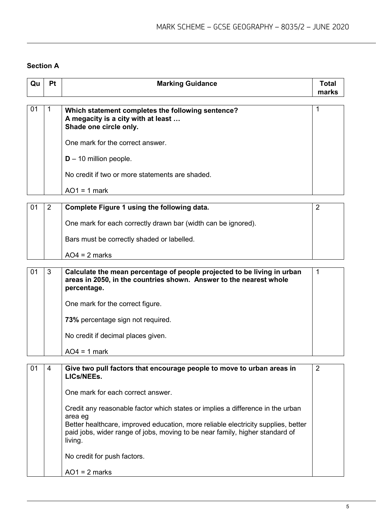# **Section A**

| Qu | Pt             | <b>Marking Guidance</b>                                                                                                                                      | <b>Total</b><br>marks |
|----|----------------|--------------------------------------------------------------------------------------------------------------------------------------------------------------|-----------------------|
|    |                |                                                                                                                                                              |                       |
| 01 | 1              | Which statement completes the following sentence?<br>A megacity is a city with at least<br>Shade one circle only.                                            | 1                     |
|    |                | One mark for the correct answer.                                                                                                                             |                       |
|    |                | $D - 10$ million people.                                                                                                                                     |                       |
|    |                | No credit if two or more statements are shaded.                                                                                                              |                       |
|    |                | $AO1 = 1$ mark                                                                                                                                               |                       |
| 01 | $\overline{2}$ | Complete Figure 1 using the following data.                                                                                                                  | 2                     |
|    |                |                                                                                                                                                              |                       |
|    |                | One mark for each correctly drawn bar (width can be ignored).                                                                                                |                       |
|    |                | Bars must be correctly shaded or labelled.                                                                                                                   |                       |
|    |                | $AO4 = 2$ marks                                                                                                                                              |                       |
| 01 | 3              |                                                                                                                                                              | 1                     |
|    |                | Calculate the mean percentage of people projected to be living in urban<br>areas in 2050, in the countries shown. Answer to the nearest whole<br>percentage. |                       |
|    |                | One mark for the correct figure.                                                                                                                             |                       |
|    |                | 73% percentage sign not required.                                                                                                                            |                       |
|    |                | No credit if decimal places given.                                                                                                                           |                       |
|    |                | $AO4 = 1$ mark                                                                                                                                               |                       |
|    |                |                                                                                                                                                              |                       |
| 01 | 4              | Give two pull factors that encourage people to move to urban areas in<br>LICs/NEEs.                                                                          | $\overline{2}$        |
|    |                | One mark for each correct answer.                                                                                                                            |                       |
|    |                | Credit any reasonable factor which states or implies a difference in the urban<br>area eg                                                                    |                       |
|    |                | Better healthcare, improved education, more reliable electricity supplies, better                                                                            |                       |
|    |                | paid jobs, wider range of jobs, moving to be near family, higher standard of<br>living.                                                                      |                       |
|    |                | No credit for push factors.                                                                                                                                  |                       |
|    |                | $AO1 = 2$ marks                                                                                                                                              |                       |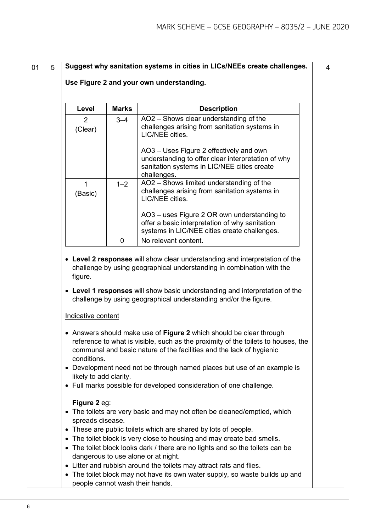| 5 |                                  |              | Suggest why sanitation systems in cities in LICs/NEEs create challenges.                                                                                                                                                         |
|---|----------------------------------|--------------|----------------------------------------------------------------------------------------------------------------------------------------------------------------------------------------------------------------------------------|
|   |                                  |              | Use Figure 2 and your own understanding.                                                                                                                                                                                         |
|   | Level                            | <b>Marks</b> | <b>Description</b>                                                                                                                                                                                                               |
|   | $\overline{2}$<br>(Clear)        | $3 - 4$      | AO2 - Shows clear understanding of the<br>challenges arising from sanitation systems in<br>LIC/NEE cities.                                                                                                                       |
|   |                                  |              | AO3 - Uses Figure 2 effectively and own<br>understanding to offer clear interpretation of why<br>sanitation systems in LIC/NEE cities create<br>challenges.                                                                      |
|   | $\mathbf{1}$<br>(Basic)          | $1 - 2$      | AO2 - Shows limited understanding of the<br>challenges arising from sanitation systems in<br>LIC/NEE cities.                                                                                                                     |
|   |                                  |              | AO3 – uses Figure 2 OR own understanding to<br>offer a basic interpretation of why sanitation<br>systems in LIC/NEE cities create challenges.                                                                                    |
|   |                                  | $\mathbf 0$  | No relevant content.                                                                                                                                                                                                             |
|   | figure.                          |              | • Level 1 responses will show basic understanding and interpretation of the<br>challenge by using geographical understanding and/or the figure.                                                                                  |
|   | Indicative content               |              |                                                                                                                                                                                                                                  |
|   | conditions.                      |              | • Answers should make use of Figure 2 which should be clear through<br>reference to what is visible, such as the proximity of the toilets to houses, the<br>communal and basic nature of the facilities and the lack of hygienic |
|   | likely to add clarity.           |              | • Development need not be through named places but use of an example is                                                                                                                                                          |
|   |                                  |              | • Full marks possible for developed consideration of one challenge.                                                                                                                                                              |
|   | Figure 2 eg:<br>spreads disease. |              | The toilets are very basic and may not often be cleaned/emptied, which                                                                                                                                                           |
|   |                                  |              | • These are public toilets which are shared by lots of people.                                                                                                                                                                   |
|   |                                  |              | The toilet block is very close to housing and may create bad smells.<br>• The toilet block looks dark / there are no lights and so the toilets can be<br>dangerous to use alone or at night.                                     |
|   |                                  |              | • Litter and rubbish around the toilets may attract rats and flies.                                                                                                                                                              |

• The toilet block may not have its own water supply, so waste builds up and people cannot wash their hands.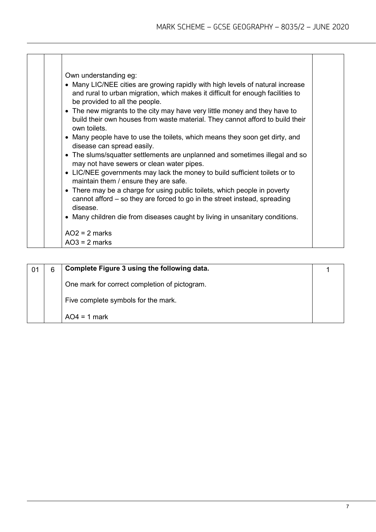| Own understanding eg:<br>• Many LIC/NEE cities are growing rapidly with high levels of natural increase<br>and rural to urban migration, which makes it difficult for enough facilities to<br>be provided to all the people.<br>• The new migrants to the city may have very little money and they have to<br>build their own houses from waste material. They cannot afford to build their<br>own toilets<br>• Many people have to use the toilets, which means they soon get dirty, and                                           |
|-------------------------------------------------------------------------------------------------------------------------------------------------------------------------------------------------------------------------------------------------------------------------------------------------------------------------------------------------------------------------------------------------------------------------------------------------------------------------------------------------------------------------------------|
| disease can spread easily.<br>• The slums/squatter settlements are unplanned and sometimes illegal and so<br>may not have sewers or clean water pipes.<br>• LIC/NEE governments may lack the money to build sufficient toilets or to<br>maintain them / ensure they are safe.<br>• There may be a charge for using public toilets, which people in poverty<br>cannot afford – so they are forced to go in the street instead, spreading<br>disease.<br>• Many children die from diseases caught by living in unsanitary conditions. |
| $AO2 = 2$ marks<br>$AO3 = 2$ marks                                                                                                                                                                                                                                                                                                                                                                                                                                                                                                  |

| 6 | Complete Figure 3 using the following data.   |  |
|---|-----------------------------------------------|--|
|   | One mark for correct completion of pictogram. |  |
|   | Five complete symbols for the mark.           |  |
|   | $AO4 = 1$ mark                                |  |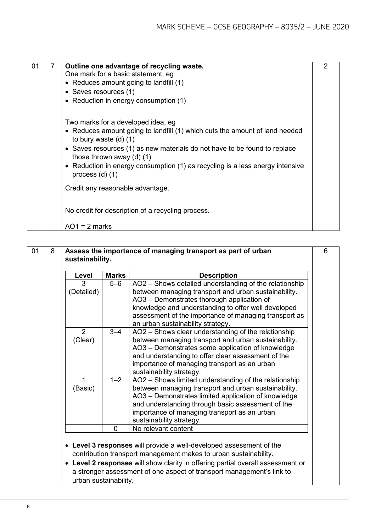| 01 | Outline one advantage of recycling waste.<br>One mark for a basic statement, eg<br>• Reduces amount going to landfill (1)<br>• Saves resources (1)<br>• Reduction in energy consumption (1)                                                                                                                                                                          |  |
|----|----------------------------------------------------------------------------------------------------------------------------------------------------------------------------------------------------------------------------------------------------------------------------------------------------------------------------------------------------------------------|--|
|    | Two marks for a developed idea, eg<br>• Reduces amount going to landfill (1) which cuts the amount of land needed<br>to bury waste $(d)$ $(1)$<br>• Saves resources (1) as new materials do not have to be found to replace<br>those thrown away $(d)$ $(1)$<br>• Reduction in energy consumption (1) as recycling is a less energy intensive<br>process $(d)$ $(1)$ |  |
|    | Credit any reasonable advantage.                                                                                                                                                                                                                                                                                                                                     |  |
|    | No credit for description of a recycling process.<br>$AO1 = 2$ marks                                                                                                                                                                                                                                                                                                 |  |

| 01 | 8 | sustainability.           |              | Assess the importance of managing transport as part of urban                                                                                                                                                                                                                                                      | 6 |
|----|---|---------------------------|--------------|-------------------------------------------------------------------------------------------------------------------------------------------------------------------------------------------------------------------------------------------------------------------------------------------------------------------|---|
|    |   | Level                     | <b>Marks</b> | <b>Description</b>                                                                                                                                                                                                                                                                                                |   |
|    |   | 3<br>(Detailed)           | $5 - 6$      | AO2 - Shows detailed understanding of the relationship<br>between managing transport and urban sustainability.<br>AO3 - Demonstrates thorough application of<br>knowledge and understanding to offer well developed<br>assessment of the importance of managing transport as<br>an urban sustainability strategy. |   |
|    |   | $\overline{2}$<br>(Clear) | $3 - 4$      | AO2 - Shows clear understanding of the relationship<br>between managing transport and urban sustainability.<br>AO3 - Demonstrates some application of knowledge<br>and understanding to offer clear assessment of the<br>importance of managing transport as an urban<br>sustainability strategy.                 |   |
|    |   | 1<br>(Basic)              | $1 - 2$      | AO2 - Shows limited understanding of the relationship<br>between managing transport and urban sustainability.<br>AO3 - Demonstrates limited application of knowledge<br>and understanding through basic assessment of the<br>importance of managing transport as an urban<br>sustainability strategy.             |   |
|    |   |                           | 0            | No relevant content                                                                                                                                                                                                                                                                                               |   |
|    |   | urban sustainability.     |              | • Level 3 responses will provide a well-developed assessment of the<br>contribution transport management makes to urban sustainability.<br>• Level 2 responses will show clarity in offering partial overall assessment or<br>a stronger assessment of one aspect of transport management's link to               |   |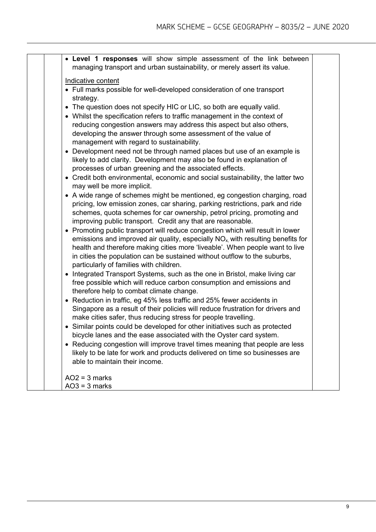| • Level 1 responses will show simple assessment of the link between<br>managing transport and urban sustainability, or merely assert its value.                                                                                                                                                                                                                                                                      |  |
|----------------------------------------------------------------------------------------------------------------------------------------------------------------------------------------------------------------------------------------------------------------------------------------------------------------------------------------------------------------------------------------------------------------------|--|
|                                                                                                                                                                                                                                                                                                                                                                                                                      |  |
| Indicative content<br>• Full marks possible for well-developed consideration of one transport<br>strategy.                                                                                                                                                                                                                                                                                                           |  |
| • The question does not specify HIC or LIC, so both are equally valid.<br>• Whilst the specification refers to traffic management in the context of<br>reducing congestion answers may address this aspect but also others,<br>developing the answer through some assessment of the value of<br>management with regard to sustainability.<br>• Development need not be through named places but use of an example is |  |
| likely to add clarity. Development may also be found in explanation of<br>processes of urban greening and the associated effects.<br>• Credit both environmental, economic and social sustainability, the latter two                                                                                                                                                                                                 |  |
| may well be more implicit.                                                                                                                                                                                                                                                                                                                                                                                           |  |
| • A wide range of schemes might be mentioned, eg congestion charging, road<br>pricing, low emission zones, car sharing, parking restrictions, park and ride<br>schemes, quota schemes for car ownership, petrol pricing, promoting and<br>improving public transport. Credit any that are reasonable.                                                                                                                |  |
| • Promoting public transport will reduce congestion which will result in lower<br>emissions and improved air quality, especially $NOx$ with resulting benefits for<br>health and therefore making cities more 'liveable'. When people want to live<br>in cities the population can be sustained without outflow to the suburbs,<br>particularly of families with children.                                           |  |
| • Integrated Transport Systems, such as the one in Bristol, make living car<br>free possible which will reduce carbon consumption and emissions and<br>therefore help to combat climate change.                                                                                                                                                                                                                      |  |
| • Reduction in traffic, eg 45% less traffic and 25% fewer accidents in<br>Singapore as a result of their policies will reduce frustration for drivers and<br>make cities safer, thus reducing stress for people travelling.                                                                                                                                                                                          |  |
| • Similar points could be developed for other initiatives such as protected<br>bicycle lanes and the ease associated with the Oyster card system                                                                                                                                                                                                                                                                     |  |
| • Reducing congestion will improve travel times meaning that people are less<br>likely to be late for work and products delivered on time so businesses are<br>able to maintain their income.                                                                                                                                                                                                                        |  |
| $AO2 = 3$ marks<br>$AO3 = 3$ marks                                                                                                                                                                                                                                                                                                                                                                                   |  |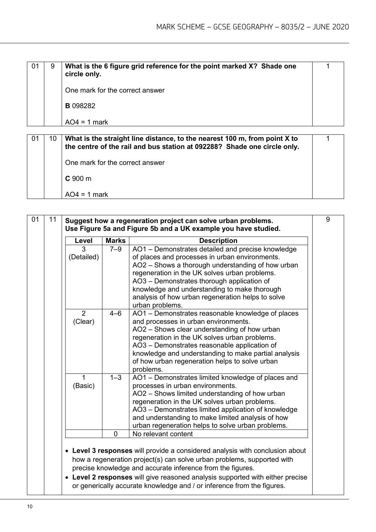| 01 | 9  | What is the 6 figure grid reference for the point marked X? Shade one<br>circle only. |  |
|----|----|---------------------------------------------------------------------------------------|--|
|    |    | One mark for the correct answer                                                       |  |
|    |    | <b>B</b> 098282                                                                       |  |
|    |    | $AO4 = 1$ mark                                                                        |  |
|    | 10 | What is the straight line distance, to the nearest 100 m, from point X to             |  |

| 01 | 10 | What is the straight line distance, to the nearest 100 m, from point X to<br>the centre of the rail and bus station at 092288? Shade one circle only. |  |
|----|----|-------------------------------------------------------------------------------------------------------------------------------------------------------|--|
|    |    | One mark for the correct answer                                                                                                                       |  |
|    |    | $C$ 900 m                                                                                                                                             |  |
|    |    | $AO4 = 1$ mark                                                                                                                                        |  |

| Level        | <b>Marks</b>   | <b>Description</b>                                                                                   |
|--------------|----------------|------------------------------------------------------------------------------------------------------|
| 3            | $7 - 9$        | AO1 - Demonstrates detailed and precise knowledge                                                    |
| (Detailed)   |                | of places and processes in urban environments.                                                       |
|              |                | AO2 - Shows a thorough understanding of how urban<br>regeneration in the UK solves urban problems.   |
|              |                | AO3 - Demonstrates thorough application of                                                           |
|              |                | knowledge and understanding to make thorough                                                         |
|              |                | analysis of how urban regeneration helps to solve                                                    |
|              |                | urban problems.                                                                                      |
| 2<br>(Clear) | $4 - 6$        | AO1 - Demonstrates reasonable knowledge of places<br>and processes in urban environments.            |
|              |                | AO2 - Shows clear understanding of how urban                                                         |
|              |                | regeneration in the UK solves urban problems.                                                        |
|              |                | AO3 - Demonstrates reasonable application of                                                         |
|              |                | knowledge and understanding to make partial analysis                                                 |
|              |                | of how urban regeneration helps to solve urban<br>problems.                                          |
| 1            | $1 - 3$        | AO1 - Demonstrates limited knowledge of places and                                                   |
| (Basic)      |                | processes in urban environments.                                                                     |
|              |                | AO2 - Shows limited understanding of how urban                                                       |
|              |                | regeneration in the UK solves urban problems.<br>AO3 - Demonstrates limited application of knowledge |
|              |                | and understanding to make limited analysis of how                                                    |
|              |                | urban regeneration helps to solve urban problems.                                                    |
|              | $\overline{0}$ | No relevant content                                                                                  |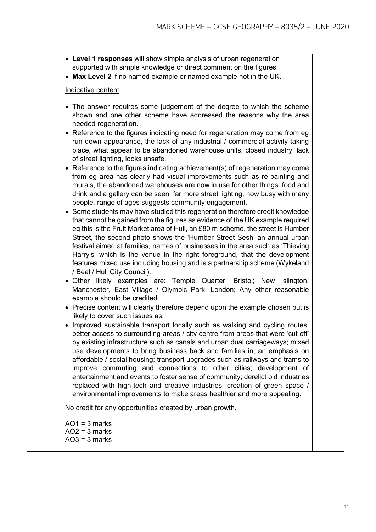- **Level 1 responses** will show simple analysis of urban regeneration supported with simple knowledge or direct comment on the figures.
- **Max Level 2** if no named example or named example not in the UK**.**

#### Indicative content

- The answer requires some judgement of the degree to which the scheme shown and one other scheme have addressed the reasons why the area needed regeneration.
- Reference to the figures indicating need for regeneration may come from eg run down appearance, the lack of any industrial / commercial activity taking place, what appear to be abandoned warehouse units, closed industry, lack of street lighting, looks unsafe.
- Reference to the figures indicating achievement(s) of regeneration may come from eg area has clearly had visual improvements such as re-painting and murals, the abandoned warehouses are now in use for other things: food and drink and a gallery can be seen, far more street lighting, now busy with many people, range of ages suggests community engagement.
- Some students may have studied this regeneration therefore credit knowledge that cannot be gained from the figures as evidence of the UK example required eg this is the Fruit Market area of Hull, an £80 m scheme, the street is Humber Street, the second photo shows the 'Humber Street Sesh' an annual urban festival aimed at families, names of businesses in the area such as 'Thieving Harry's' which is the venue in the right foreground, that the development features mixed use including housing and is a partnership scheme (Wykeland / Beal / Hull City Council).
- Other likely examples are: Temple Quarter, Bristol; New Islington, Manchester, East Village / Olympic Park, London; Any other reasonable example should be credited.
- Precise content will clearly therefore depend upon the example chosen but is likely to cover such issues as:
- Improved sustainable transport locally such as walking and cycling routes; better access to surrounding areas / city centre from areas that were 'cut off' by existing infrastructure such as canals and urban dual carriageways; mixed use developments to bring business back and families in; an emphasis on affordable / social housing; transport upgrades such as railways and trams to improve commuting and connections to other cities; development of entertainment and events to foster sense of community; derelict old industries replaced with high-tech and creative industries; creation of green space / environmental improvements to make areas healthier and more appealing.

No credit for any opportunities created by urban growth.

 $AO1 = 3$  marks  $AO2 = 3$  marks  $AO3 = 3$  marks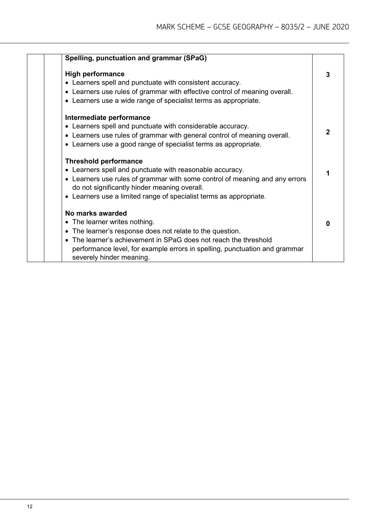| Spelling, punctuation and grammar (SPaG)                                                                                                                                                                                                                                                      |   |
|-----------------------------------------------------------------------------------------------------------------------------------------------------------------------------------------------------------------------------------------------------------------------------------------------|---|
| <b>High performance</b><br>• Learners spell and punctuate with consistent accuracy.<br>• Learners use rules of grammar with effective control of meaning overall.<br>• Learners use a wide range of specialist terms as appropriate.                                                          | 3 |
| Intermediate performance<br>• Learners spell and punctuate with considerable accuracy.<br>• Learners use rules of grammar with general control of meaning overall.<br>• Learners use a good range of specialist terms as appropriate.                                                         | 2 |
| <b>Threshold performance</b><br>• Learners spell and punctuate with reasonable accuracy.<br>• Learners use rules of grammar with some control of meaning and any errors<br>do not significantly hinder meaning overall.<br>• Learners use a limited range of specialist terms as appropriate. |   |
| No marks awarded<br>• The learner writes nothing.<br>• The learner's response does not relate to the question.<br>• The learner's achievement in SPaG does not reach the threshold<br>performance level, for example errors in spelling, punctuation and grammar<br>severely hinder meaning.  | ŋ |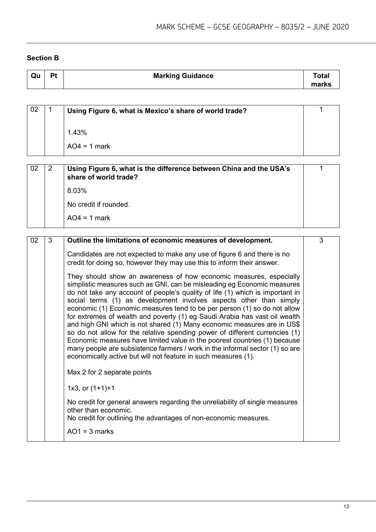#### **Section B**

| Qu | Pt | <b>Marking Guidance</b> | <b>Total</b><br>marks |
|----|----|-------------------------|-----------------------|
|    |    |                         |                       |

| 02 | 1 | Using Figure 6, what is Mexico's share of world trade?                                                                                                                                                                                                                                                                                                                                                                                                                                                                                                                                                                                                                                                                                                                                                                                                  | 1 |
|----|---|---------------------------------------------------------------------------------------------------------------------------------------------------------------------------------------------------------------------------------------------------------------------------------------------------------------------------------------------------------------------------------------------------------------------------------------------------------------------------------------------------------------------------------------------------------------------------------------------------------------------------------------------------------------------------------------------------------------------------------------------------------------------------------------------------------------------------------------------------------|---|
|    |   |                                                                                                                                                                                                                                                                                                                                                                                                                                                                                                                                                                                                                                                                                                                                                                                                                                                         |   |
|    |   | 1.43%                                                                                                                                                                                                                                                                                                                                                                                                                                                                                                                                                                                                                                                                                                                                                                                                                                                   |   |
|    |   | $AO4 = 1$ mark                                                                                                                                                                                                                                                                                                                                                                                                                                                                                                                                                                                                                                                                                                                                                                                                                                          |   |
|    |   |                                                                                                                                                                                                                                                                                                                                                                                                                                                                                                                                                                                                                                                                                                                                                                                                                                                         |   |
| 02 | 2 | Using Figure 6, what is the difference between China and the USA's<br>share of world trade?                                                                                                                                                                                                                                                                                                                                                                                                                                                                                                                                                                                                                                                                                                                                                             | 1 |
|    |   | 8.03%                                                                                                                                                                                                                                                                                                                                                                                                                                                                                                                                                                                                                                                                                                                                                                                                                                                   |   |
|    |   | No credit if rounded.                                                                                                                                                                                                                                                                                                                                                                                                                                                                                                                                                                                                                                                                                                                                                                                                                                   |   |
|    |   | $AO4 = 1$ mark                                                                                                                                                                                                                                                                                                                                                                                                                                                                                                                                                                                                                                                                                                                                                                                                                                          |   |
|    |   |                                                                                                                                                                                                                                                                                                                                                                                                                                                                                                                                                                                                                                                                                                                                                                                                                                                         |   |
| 02 | 3 | Outline the limitations of economic measures of development.                                                                                                                                                                                                                                                                                                                                                                                                                                                                                                                                                                                                                                                                                                                                                                                            | 3 |
|    |   | Candidates are not expected to make any use of figure 6 and there is no<br>credit for doing so, however they may use this to inform their answer.                                                                                                                                                                                                                                                                                                                                                                                                                                                                                                                                                                                                                                                                                                       |   |
|    |   | They should show an awareness of how economic measures, especially<br>simplistic measures such as GNI, can be misleading eg Economic measures<br>do not take any account of people's quality of life (1) which is important in<br>social terms (1) as development involves aspects other than simply<br>economic (1) Economic measures tend to be per person (1) so do not allow<br>for extremes of wealth and poverty (1) eg Saudi Arabia has vast oil wealth<br>and high GNI which is not shared (1) Many economic measures are in US\$<br>so do not allow for the relative spending power of different currencies (1)<br>Economic measures have limited value in the poorest countries (1) because<br>many people are subsistence farmers / work in the informal sector (1) so are<br>economically active but will not feature in such measures (1). |   |
|    |   | Max 2 for 2 separate points                                                                                                                                                                                                                                                                                                                                                                                                                                                                                                                                                                                                                                                                                                                                                                                                                             |   |
|    |   | 1x3, or $(1+1)+1$                                                                                                                                                                                                                                                                                                                                                                                                                                                                                                                                                                                                                                                                                                                                                                                                                                       |   |
|    |   | No credit for general answers regarding the unreliability of single measures<br>other than economic.<br>No credit for outlining the advantages of non-economic measures.                                                                                                                                                                                                                                                                                                                                                                                                                                                                                                                                                                                                                                                                                |   |
|    |   | $AO1 = 3$ marks                                                                                                                                                                                                                                                                                                                                                                                                                                                                                                                                                                                                                                                                                                                                                                                                                                         |   |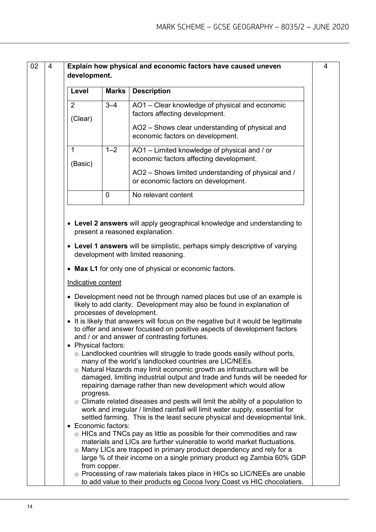| development.                     |                           |                                                                                                                                                                                                                                                                                                                                                                    |
|----------------------------------|---------------------------|--------------------------------------------------------------------------------------------------------------------------------------------------------------------------------------------------------------------------------------------------------------------------------------------------------------------------------------------------------------------|
| Level                            | <b>Marks</b>              | <b>Description</b>                                                                                                                                                                                                                                                                                                                                                 |
| $\overline{2}$<br>(Clear)        | $3 - 4$                   | AO1 - Clear knowledge of physical and economic<br>factors affecting development.                                                                                                                                                                                                                                                                                   |
|                                  |                           | AO2 – Shows clear understanding of physical and<br>economic factors on development.                                                                                                                                                                                                                                                                                |
| $\mathbf{1}$<br>(Basic)          | $1 - 2$                   | AO1 - Limited knowledge of physical and / or<br>economic factors affecting development.                                                                                                                                                                                                                                                                            |
|                                  |                           | AO2 - Shows limited understanding of physical and /<br>or economic factors on development.                                                                                                                                                                                                                                                                         |
|                                  | 0                         | No relevant content                                                                                                                                                                                                                                                                                                                                                |
|                                  | processes of development. | • Development need not be through named places but use of an example is<br>likely to add clarity. Development may also be found in explanation of<br>• It is likely that answers will focus on the negative but it would be legitimate<br>to offer and answer focussed on positive aspects of development factors                                                  |
|                                  |                           | and / or and answer of contrasting fortunes.                                                                                                                                                                                                                                                                                                                       |
| • Physical factors:<br>progress. |                           | $\circ$ Landlocked countries will struggle to trade goods easily without ports,<br>many of the world's landlocked countries are LIC/NEEs.<br>o Natural Hazards may limit economic growth as infrastructure will be<br>damaged, limiting industrial output and trade and funds will be needed for<br>repairing damage rather than new development which would allow |
|                                  |                           | $\circ$ Climate related diseases and pests will limit the ability of a population to<br>work and irregular / limited rainfall will limit water supply, essential for<br>settled farming. This is the least secure physical and developmental link.                                                                                                                 |
| • Economic factors:              |                           | $\circ$ HICs and TNCs pay as little as possible for their commodities and raw                                                                                                                                                                                                                                                                                      |
|                                  | from copper.              | materials and LICs are further vulnerable to world market fluctuations.<br>$\circ$ Many LICs are trapped in primary product dependency and rely for a<br>large % of their income on a single primary product eg Zambia 60% GDP                                                                                                                                     |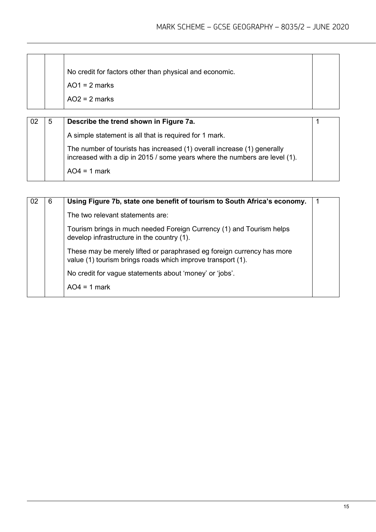| No credit for factors other than physical and economic.<br>$AO1 = 2$ marks<br>$AO2 = 2$ marks |  |
|-----------------------------------------------------------------------------------------------|--|
|-----------------------------------------------------------------------------------------------|--|

| -02 | 5 | Describe the trend shown in Figure 7a.                                                                                                                |  |
|-----|---|-------------------------------------------------------------------------------------------------------------------------------------------------------|--|
|     |   | A simple statement is all that is required for 1 mark.                                                                                                |  |
|     |   | The number of tourists has increased (1) overall increase (1) generally<br>increased with a dip in 2015 / some years where the numbers are level (1). |  |
|     |   | $AO4 = 1$ mark                                                                                                                                        |  |

| 6 | Using Figure 7b, state one benefit of tourism to South Africa's economy.                                                              | -1 |
|---|---------------------------------------------------------------------------------------------------------------------------------------|----|
|   | The two relevant statements are:                                                                                                      |    |
|   | Tourism brings in much needed Foreign Currency (1) and Tourism helps<br>develop infrastructure in the country (1).                    |    |
|   | These may be merely lifted or paraphrased eg foreign currency has more<br>value (1) tourism brings roads which improve transport (1). |    |
|   | No credit for vague statements about 'money' or 'jobs'.                                                                               |    |
|   | $AO4 = 1$ mark                                                                                                                        |    |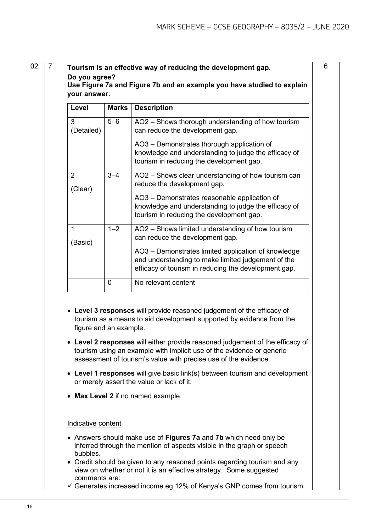|                           | your answer.           |                                                                                                                                                                                                                                                                                                                                                                               |
|---------------------------|------------------------|-------------------------------------------------------------------------------------------------------------------------------------------------------------------------------------------------------------------------------------------------------------------------------------------------------------------------------------------------------------------------------|
| Level                     | <b>Marks</b>           | <b>Description</b>                                                                                                                                                                                                                                                                                                                                                            |
| 3<br>(Detailed)           | $5-6$                  | AO2 - Shows thorough understanding of how tourism<br>can reduce the development gap.                                                                                                                                                                                                                                                                                          |
|                           |                        | AO3 - Demonstrates thorough application of<br>knowledge and understanding to judge the efficacy of<br>tourism in reducing the development gap.                                                                                                                                                                                                                                |
| $\overline{2}$<br>(Clear) | $3 - 4$                | AO2 - Shows clear understanding of how tourism can<br>reduce the development gap.                                                                                                                                                                                                                                                                                             |
|                           |                        | AO3 - Demonstrates reasonable application of<br>knowledge and understanding to judge the efficacy of<br>tourism in reducing the development gap.                                                                                                                                                                                                                              |
| 1<br>(Basic)              | $1 - 2$                | AO2 - Shows limited understanding of how tourism<br>can reduce the development gap.                                                                                                                                                                                                                                                                                           |
|                           |                        | AO3 - Demonstrates limited application of knowledge<br>and understanding to make limited judgement of the<br>efficacy of tourism in reducing the development gap.                                                                                                                                                                                                             |
|                           | 0                      | No relevant content                                                                                                                                                                                                                                                                                                                                                           |
|                           |                        |                                                                                                                                                                                                                                                                                                                                                                               |
|                           | figure and an example. | • Level 3 responses will provide reasoned judgement of the efficacy of<br>tourism as a means to aid development supported by evidence from the<br>tourism using an example with implicit use of the evidence or generic<br>assessment of tourism's value with precise use of the evidence.<br>or merely assert the value or lack of it.<br>• Max Level 2 if no named example. |
| Indicative content        |                        |                                                                                                                                                                                                                                                                                                                                                                               |
| bubbles.                  |                        | Level 2 responses will either provide reasoned judgement of the efficacy of<br>• Level 1 responses will give basic link(s) between tourism and development<br>• Answers should make use of Figures 7a and 7b which need only be<br>inferred through the mention of aspects visible in the graph or speech                                                                     |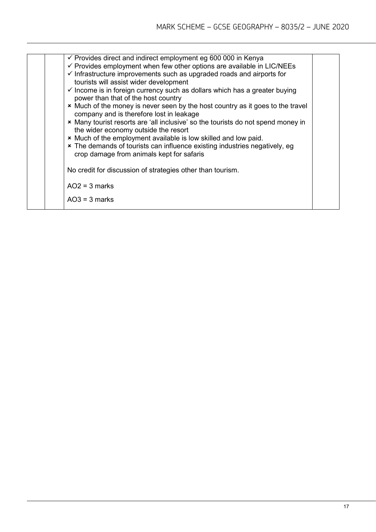| $\checkmark$ Provides direct and indirect employment eg 600 000 in Kenya<br>$\checkmark$ Provides employment when few other options are available in LIC/NEEs<br>$\checkmark$ Infrastructure improvements such as upgraded roads and airports for<br>tourists will assist wider development<br>$\checkmark$ Income is in foreign currency such as dollars which has a greater buying<br>power than that of the host country<br>* Much of the money is never seen by the host country as it goes to the travel<br>company and is therefore lost in leakage<br>* Many tourist resorts are 'all inclusive' so the tourists do not spend money in<br>the wider economy outside the resort<br>* Much of the employment available is low skilled and low paid.<br>* The demands of tourists can influence existing industries negatively, eg<br>crop damage from animals kept for safaris |  |
|-------------------------------------------------------------------------------------------------------------------------------------------------------------------------------------------------------------------------------------------------------------------------------------------------------------------------------------------------------------------------------------------------------------------------------------------------------------------------------------------------------------------------------------------------------------------------------------------------------------------------------------------------------------------------------------------------------------------------------------------------------------------------------------------------------------------------------------------------------------------------------------|--|
| No credit for discussion of strategies other than tourism.                                                                                                                                                                                                                                                                                                                                                                                                                                                                                                                                                                                                                                                                                                                                                                                                                          |  |
| $AO2 = 3$ marks<br>$AO3 = 3$ marks                                                                                                                                                                                                                                                                                                                                                                                                                                                                                                                                                                                                                                                                                                                                                                                                                                                  |  |
|                                                                                                                                                                                                                                                                                                                                                                                                                                                                                                                                                                                                                                                                                                                                                                                                                                                                                     |  |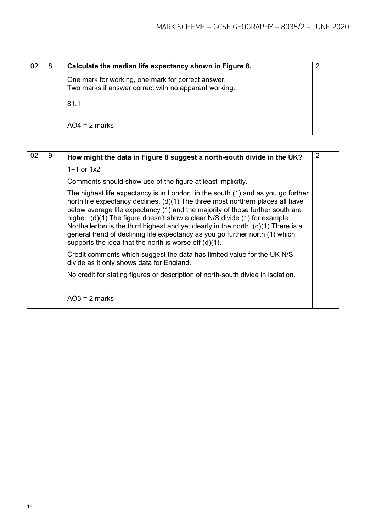| 8 | Calculate the median life expectancy shown in Figure 8.                                                     |  |
|---|-------------------------------------------------------------------------------------------------------------|--|
|   | One mark for working, one mark for correct answer.<br>Two marks if answer correct with no apparent working. |  |
|   | 81.1                                                                                                        |  |
|   | $AO4 = 2$ marks                                                                                             |  |

| 02 | 9 | How might the data in Figure 8 suggest a north-south divide in the UK?                                                                                                                                                                                                                                                                                                                                                                                                                                                                                               | $\overline{2}$ |
|----|---|----------------------------------------------------------------------------------------------------------------------------------------------------------------------------------------------------------------------------------------------------------------------------------------------------------------------------------------------------------------------------------------------------------------------------------------------------------------------------------------------------------------------------------------------------------------------|----------------|
|    |   | $1+1$ or $1x2$                                                                                                                                                                                                                                                                                                                                                                                                                                                                                                                                                       |                |
|    |   | Comments should show use of the figure at least implicitly.                                                                                                                                                                                                                                                                                                                                                                                                                                                                                                          |                |
|    |   | The highest life expectancy is in London, in the south (1) and as you go further<br>north life expectancy declines. (d)(1) The three most northern places all have<br>below average life expectancy (1) and the majority of those further south are<br>higher. (d)(1) The figure doesn't show a clear N/S divide (1) for example<br>Northallerton is the third highest and yet clearly in the north. $(d)(1)$ There is a<br>general trend of declining life expectancy as you go further north (1) which<br>supports the idea that the north is worse off $(d)(1)$ . |                |
|    |   | Credit comments which suggest the data has limited value for the UK N/S<br>divide as it only shows data for England.                                                                                                                                                                                                                                                                                                                                                                                                                                                 |                |
|    |   | No credit for stating figures or description of north-south divide in isolation.                                                                                                                                                                                                                                                                                                                                                                                                                                                                                     |                |
|    |   | $AO3 = 2$ marks                                                                                                                                                                                                                                                                                                                                                                                                                                                                                                                                                      |                |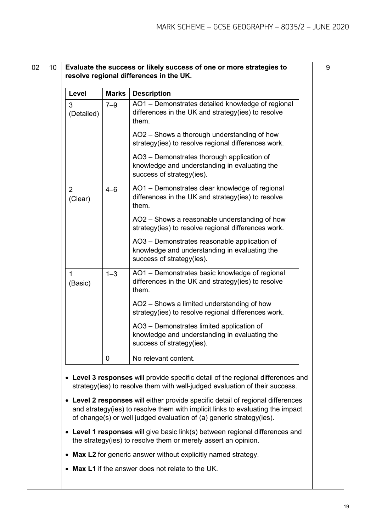| Level                     | <b>Marks</b> | <b>Description</b>                                                                                                         |  |
|---------------------------|--------------|----------------------------------------------------------------------------------------------------------------------------|--|
| 3<br>(Detailed)           | $7 - 9$      | AO1 - Demonstrates detailed knowledge of regional<br>differences in the UK and strategy(ies) to resolve<br>them.           |  |
|                           |              | AO2 - Shows a thorough understanding of how<br>strategy(ies) to resolve regional differences work.                         |  |
|                           |              | AO3 - Demonstrates thorough application of<br>knowledge and understanding in evaluating the<br>success of strategy(ies).   |  |
| $\overline{2}$<br>(Clear) | $4 - 6$      | AO1 - Demonstrates clear knowledge of regional<br>differences in the UK and strategy(ies) to resolve<br>them.              |  |
|                           |              | AO2 - Shows a reasonable understanding of how<br>strategy(ies) to resolve regional differences work.                       |  |
|                           |              | AO3 - Demonstrates reasonable application of<br>knowledge and understanding in evaluating the<br>success of strategy(ies). |  |
| 1<br>(Basic)              | $1 - 3$      | AO1 - Demonstrates basic knowledge of regional<br>differences in the UK and strategy(ies) to resolve<br>them.              |  |
|                           |              | AO2 - Shows a limited understanding of how<br>strategy(ies) to resolve regional differences work.                          |  |
|                           |              | AO3 - Demonstrates limited application of<br>knowledge and understanding in evaluating the<br>success of strategy(ies).    |  |
|                           | 0            | No relevant content.                                                                                                       |  |

• **Level 1 responses** will give basic link(s) between regional differences and the strategy(ies) to resolve them or merely assert an opinion.

of change(s) or well judged evaluation of (a) generic strategy(ies).

- **Max L2** for generic answer without explicitly named strategy.
- **Max L1** if the answer does not relate to the UK.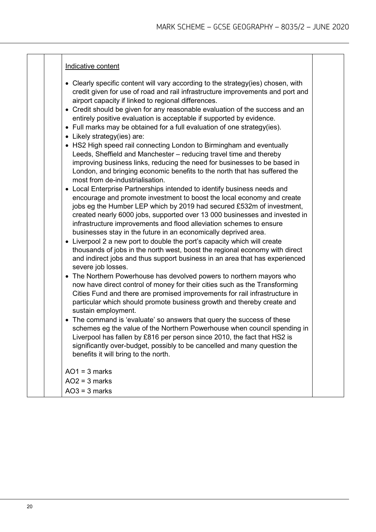- Clearly specific content will vary according to the strategy(ies) chosen, with credit given for use of road and rail infrastructure improvements and port and airport capacity if linked to regional differences.
- Credit should be given for any reasonable evaluation of the success and an entirely positive evaluation is acceptable if supported by evidence.
- Full marks may be obtained for a full evaluation of one strategy(ies).
- Likely strategy(ies) are:
- HS2 High speed rail connecting London to Birmingham and eventually Leeds, Sheffield and Manchester – reducing travel time and thereby improving business links, reducing the need for businesses to be based in London, and bringing economic benefits to the north that has suffered the most from de-industrialisation.
- Local Enterprise Partnerships intended to identify business needs and encourage and promote investment to boost the local economy and create jobs eg the Humber LEP which by 2019 had secured £532m of investment, created nearly 6000 jobs, supported over 13 000 businesses and invested in infrastructure improvements and flood alleviation schemes to ensure businesses stay in the future in an economically deprived area.
- Liverpool 2 a new port to double the port's capacity which will create thousands of jobs in the north west, boost the regional economy with direct and indirect jobs and thus support business in an area that has experienced severe job losses.
- The Northern Powerhouse has devolved powers to northern mayors who now have direct control of money for their cities such as the Transforming Cities Fund and there are promised improvements for rail infrastructure in particular which should promote business growth and thereby create and sustain employment.
- The command is 'evaluate' so answers that query the success of these schemes eg the value of the Northern Powerhouse when council spending in Liverpool has fallen by £816 per person since 2010, the fact that HS2 is significantly over-budget, possibly to be cancelled and many question the benefits it will bring to the north.

 $AO1 = 3$  marks  $AO2 = 3$  marks  $AO3 = 3$  marks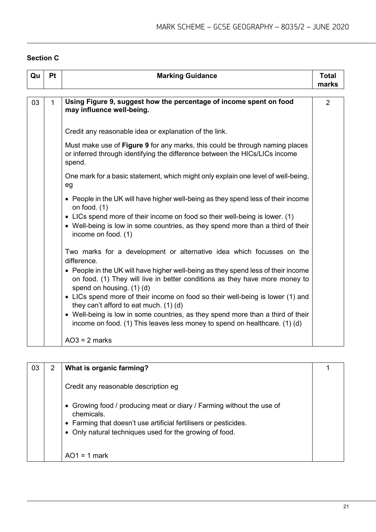#### **Section C**

| Qu | Pt           | <b>Marking Guidance</b>                                                                                                                                                                       | <b>Total</b><br>marks |
|----|--------------|-----------------------------------------------------------------------------------------------------------------------------------------------------------------------------------------------|-----------------------|
| 03 | $\mathbf{1}$ | Using Figure 9, suggest how the percentage of income spent on food<br>may influence well-being.                                                                                               | 2                     |
|    |              | Credit any reasonable idea or explanation of the link.                                                                                                                                        |                       |
|    |              | Must make use of Figure 9 for any marks, this could be through naming places<br>or inferred through identifying the difference between the HICs/LICs income<br>spend.                         |                       |
|    |              | One mark for a basic statement, which might only explain one level of well-being,<br>eg                                                                                                       |                       |
|    |              | • People in the UK will have higher well-being as they spend less of their income<br>on food. $(1)$                                                                                           |                       |
|    |              | • LICs spend more of their income on food so their well-being is lower. (1)<br>• Well-being is low in some countries, as they spend more than a third of their<br>income on food. (1)         |                       |
|    |              | Two marks for a development or alternative idea which focusses on the<br>difference.                                                                                                          |                       |
|    |              | • People in the UK will have higher well-being as they spend less of their income<br>on food. (1) They will live in better conditions as they have more money to<br>spend on housing. (1) (d) |                       |
|    |              | • LICs spend more of their income on food so their well-being is lower (1) and<br>they can't afford to eat much. (1) (d)                                                                      |                       |
|    |              | • Well-being is low in some countries, as they spend more than a third of their<br>income on food. (1) This leaves less money to spend on healthcare. (1) (d)                                 |                       |
|    |              | $AO3 = 2$ marks                                                                                                                                                                               |                       |

| 03 | $\overline{2}$ | What is organic farming?                                                                                                                                                                                           |  |
|----|----------------|--------------------------------------------------------------------------------------------------------------------------------------------------------------------------------------------------------------------|--|
|    |                | Credit any reasonable description eg                                                                                                                                                                               |  |
|    |                | • Growing food / producing meat or diary / Farming without the use of<br>chemicals.<br>• Farming that doesn't use artificial fertilisers or pesticides.<br>• Only natural techniques used for the growing of food. |  |
|    |                | $AO1 = 1$ mark                                                                                                                                                                                                     |  |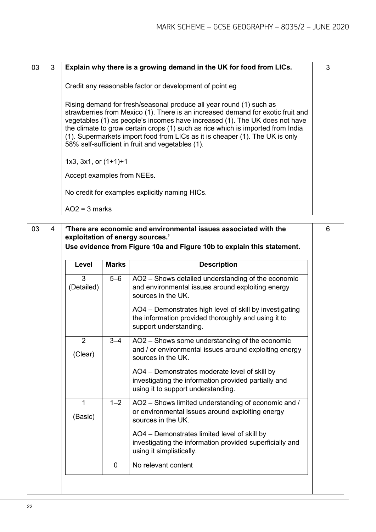| 03 | 3 | Explain why there is a growing demand in the UK for food from LICs.                                                                                                                                                                                                                                                                                                                                                                                          | 3 |  |  |  |  |
|----|---|--------------------------------------------------------------------------------------------------------------------------------------------------------------------------------------------------------------------------------------------------------------------------------------------------------------------------------------------------------------------------------------------------------------------------------------------------------------|---|--|--|--|--|
|    |   | Credit any reasonable factor or development of point eg                                                                                                                                                                                                                                                                                                                                                                                                      |   |  |  |  |  |
|    |   | Rising demand for fresh/seasonal produce all year round (1) such as<br>strawberries from Mexico (1). There is an increased demand for exotic fruit and<br>vegetables (1) as people's incomes have increased (1). The UK does not have<br>the climate to grow certain crops (1) such as rice which is imported from India<br>(1). Supermarkets import food from LICs as it is cheaper (1). The UK is only<br>58% self-sufficient in fruit and vegetables (1). |   |  |  |  |  |
|    |   | $1x3$ , $3x1$ , or $(1+1)+1$                                                                                                                                                                                                                                                                                                                                                                                                                                 |   |  |  |  |  |
|    |   | Accept examples from NEEs.                                                                                                                                                                                                                                                                                                                                                                                                                                   |   |  |  |  |  |
|    |   | No credit for examples explicitly naming HICs.                                                                                                                                                                                                                                                                                                                                                                                                               |   |  |  |  |  |
|    |   | $AO2 = 3$ marks                                                                                                                                                                                                                                                                                                                                                                                                                                              |   |  |  |  |  |

| 03 | 4 |                         |              | 'There are economic and environmental issues associated with the<br>exploitation of energy sources.'<br>Use evidence from Figure 10a and Figure 10b to explain this statement. | 6 |
|----|---|-------------------------|--------------|--------------------------------------------------------------------------------------------------------------------------------------------------------------------------------|---|
|    |   | Level                   | <b>Marks</b> | <b>Description</b>                                                                                                                                                             |   |
|    |   | 3<br>(Detailed)         | $5-6$        | AO2 - Shows detailed understanding of the economic<br>and environmental issues around exploiting energy<br>sources in the UK.                                                  |   |
|    |   |                         |              | AO4 - Demonstrates high level of skill by investigating<br>the information provided thoroughly and using it to<br>support understanding.                                       |   |
|    |   | 2<br>(Clear)            | $3 - 4$      | AO2 - Shows some understanding of the economic<br>and / or environmental issues around exploiting energy<br>sources in the UK.                                                 |   |
|    |   |                         |              | AO4 - Demonstrates moderate level of skill by<br>investigating the information provided partially and<br>using it to support understanding.                                    |   |
|    |   | $\mathbf{1}$<br>(Basic) | $1 - 2$      | AO2 - Shows limited understanding of economic and /<br>or environmental issues around exploiting energy<br>sources in the UK.                                                  |   |
|    |   |                         |              | AO4 - Demonstrates limited level of skill by<br>investigating the information provided superficially and<br>using it simplistically.                                           |   |
|    |   |                         | $\mathbf{0}$ | No relevant content                                                                                                                                                            |   |
|    |   |                         |              |                                                                                                                                                                                |   |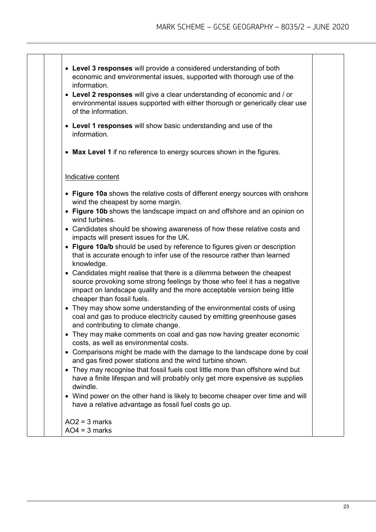- **Level 3 responses** will provide a considered understanding of both economic and environmental issues, supported with thorough use of the information.
- **Level 2 responses** will give a clear understanding of economic and / or environmental issues supported with either thorough or generically clear use of the information.
- **Level 1 responses** will show basic understanding and use of the information.
- **Max Level 1** if no reference to energy sources shown in the figures.

#### Indicative content

- **Figure 10a** shows the relative costs of different energy sources with onshore wind the cheapest by some margin.
- **Figure 10b** shows the landscape impact on and offshore and an opinion on wind turbines.
- Candidates should be showing awareness of how these relative costs and impacts will present issues for the UK.
- **Figure 10a/b** should be used by reference to figures given or description that is accurate enough to infer use of the resource rather than learned knowledge.
- Candidates might realise that there is a dilemma between the cheapest source provoking some strong feelings by those who feel it has a negative impact on landscape quality and the more acceptable version being little cheaper than fossil fuels.
- They may show some understanding of the environmental costs of using coal and gas to produce electricity caused by emitting greenhouse gases and contributing to climate change.
- They may make comments on coal and gas now having greater economic costs, as well as environmental costs.
- Comparisons might be made with the damage to the landscape done by coal and gas fired power stations and the wind turbine shown.
- They may recognise that fossil fuels cost little more than offshore wind but have a finite lifespan and will probably only get more expensive as supplies dwindle.
- Wind power on the other hand is likely to become cheaper over time and will have a relative advantage as fossil fuel costs go up.

 $AO2 = 3$  marks  $AO4 = 3$  marks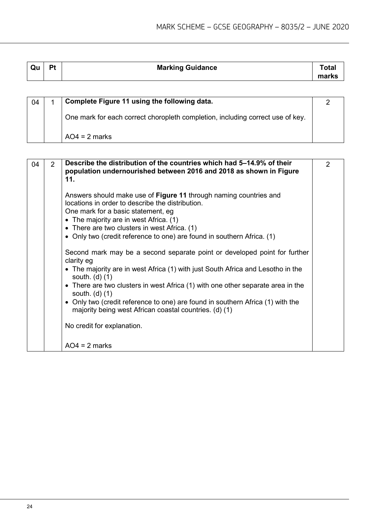| Qu | Pt | <b>Marking Guidance</b> | ⊺otaì |
|----|----|-------------------------|-------|
|    |    |                         | marks |

| 04 | Complete Figure 11 using the following data.                                   |  |
|----|--------------------------------------------------------------------------------|--|
|    | One mark for each correct choropleth completion, including correct use of key. |  |
|    | $AO4 = 2$ marks                                                                |  |

| 04 | 2 | Describe the distribution of the countries which had 5-14.9% of their<br>population undernourished between 2016 and 2018 as shown in Figure<br>11.                                                                                                                                                                                                                                                                                                                                  | $\mathcal{P}$ |
|----|---|-------------------------------------------------------------------------------------------------------------------------------------------------------------------------------------------------------------------------------------------------------------------------------------------------------------------------------------------------------------------------------------------------------------------------------------------------------------------------------------|---------------|
|    |   | Answers should make use of Figure 11 through naming countries and<br>locations in order to describe the distribution.<br>One mark for a basic statement, eg<br>• The majority are in west Africa. (1)<br>• There are two clusters in west Africa. (1)<br>• Only two (credit reference to one) are found in southern Africa. (1)                                                                                                                                                     |               |
|    |   | Second mark may be a second separate point or developed point for further<br>clarity eg<br>• The majority are in west Africa (1) with just South Africa and Lesotho in the<br>south. $(d)$ $(1)$<br>• There are two clusters in west Africa (1) with one other separate area in the<br>south. $(d)$ $(1)$<br>• Only two (credit reference to one) are found in southern Africa (1) with the<br>majority being west African coastal countries. (d) (1)<br>No credit for explanation. |               |
|    |   | $AO4 = 2$ marks                                                                                                                                                                                                                                                                                                                                                                                                                                                                     |               |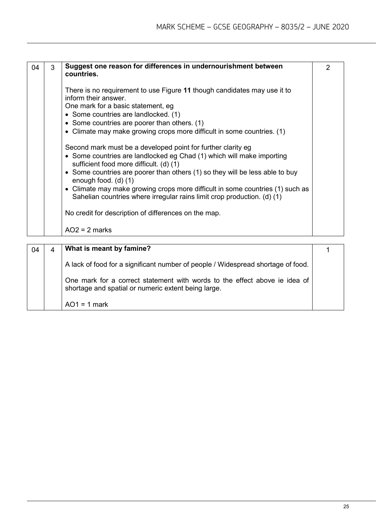| 04 | 3 | Suggest one reason for differences in undernourishment between<br>countries.                                                                                                                                                                                                                                                                                                                                                                                                                                                        | 2 |
|----|---|-------------------------------------------------------------------------------------------------------------------------------------------------------------------------------------------------------------------------------------------------------------------------------------------------------------------------------------------------------------------------------------------------------------------------------------------------------------------------------------------------------------------------------------|---|
|    |   | There is no requirement to use Figure 11 though candidates may use it to<br>inform their answer.<br>One mark for a basic statement, eg<br>• Some countries are landlocked. (1)<br>• Some countries are poorer than others. (1)<br>• Climate may make growing crops more difficult in some countries. (1)                                                                                                                                                                                                                            |   |
|    |   | Second mark must be a developed point for further clarity eg<br>• Some countries are landlocked eg Chad (1) which will make importing<br>sufficient food more difficult. (d) (1)<br>• Some countries are poorer than others (1) so they will be less able to buy<br>enough food. $(d)$ $(1)$<br>• Climate may make growing crops more difficult in some countries (1) such as<br>Sahelian countries where irregular rains limit crop production. (d) (1)<br>No credit for description of differences on the map.<br>$AO2 = 2$ marks |   |

| 04 | What is meant by famine?                                                                                                          |  |
|----|-----------------------------------------------------------------------------------------------------------------------------------|--|
|    | A lack of food for a significant number of people / Widespread shortage of food.                                                  |  |
|    | One mark for a correct statement with words to the effect above ie idea of<br>shortage and spatial or numeric extent being large. |  |
|    | $AO1 = 1$ mark                                                                                                                    |  |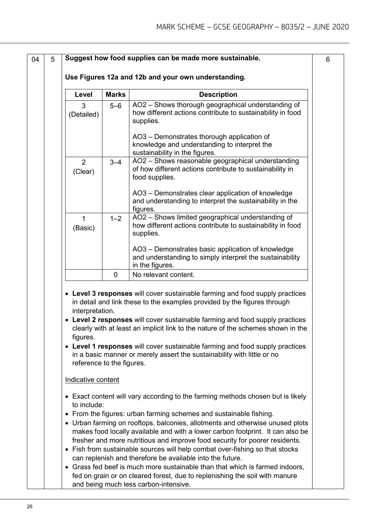| 04 | 5 |                                                          |              | Suggest how food supplies can be made more sustainable.                                                                                                                                                                                                                                                                                                                                                                                                                                 | 6 |
|----|---|----------------------------------------------------------|--------------|-----------------------------------------------------------------------------------------------------------------------------------------------------------------------------------------------------------------------------------------------------------------------------------------------------------------------------------------------------------------------------------------------------------------------------------------------------------------------------------------|---|
|    |   |                                                          |              | Use Figures 12a and 12b and your own understanding.                                                                                                                                                                                                                                                                                                                                                                                                                                     |   |
|    |   | Level                                                    | <b>Marks</b> | <b>Description</b>                                                                                                                                                                                                                                                                                                                                                                                                                                                                      |   |
|    |   | 3<br>(Detailed)                                          | $5 - 6$      | AO2 - Shows thorough geographical understanding of<br>how different actions contribute to sustainability in food<br>supplies.                                                                                                                                                                                                                                                                                                                                                           |   |
|    |   |                                                          |              | AO3 - Demonstrates thorough application of<br>knowledge and understanding to interpret the<br>sustainability in the figures.                                                                                                                                                                                                                                                                                                                                                            |   |
|    |   | 2<br>(Clear)                                             | $3 - 4$      | AO2 - Shows reasonable geographical understanding<br>of how different actions contribute to sustainability in<br>food supplies.                                                                                                                                                                                                                                                                                                                                                         |   |
|    |   |                                                          |              | AO3 - Demonstrates clear application of knowledge<br>and understanding to interpret the sustainability in the<br>figures.                                                                                                                                                                                                                                                                                                                                                               |   |
|    |   | $\mathbf{1}$<br>(Basic)                                  | $1 - 2$      | AO2 - Shows limited geographical understanding of<br>how different actions contribute to sustainability in food<br>supplies.                                                                                                                                                                                                                                                                                                                                                            |   |
|    |   |                                                          |              | AO3 - Demonstrates basic application of knowledge<br>and understanding to simply interpret the sustainability<br>in the figures.                                                                                                                                                                                                                                                                                                                                                        |   |
|    |   |                                                          | $\mathbf 0$  | No relevant content.                                                                                                                                                                                                                                                                                                                                                                                                                                                                    |   |
|    |   | interpretation.<br>figures.<br>reference to the figures. |              | • Level 3 responses will cover sustainable farming and food supply practices<br>in detail and link these to the examples provided by the figures through<br>• Level 2 responses will cover sustainable farming and food supply practices<br>clearly with at least an implicit link to the nature of the schemes shown in the<br>• Level 1 responses will cover sustainable farming and food supply practices<br>in a basic manner or merely assert the sustainability with little or no |   |
|    |   | Indicative content                                       |              |                                                                                                                                                                                                                                                                                                                                                                                                                                                                                         |   |
|    |   | to include:                                              |              | • Exact content will vary according to the farming methods chosen but is likely                                                                                                                                                                                                                                                                                                                                                                                                         |   |
|    |   |                                                          |              | • From the figures: urban farming schemes and sustainable fishing.<br>• Urban farming on rooftops, balconies, allotments and otherwise unused plots<br>makes food locally available and with a lower carbon footprint. It can also be<br>fresher and more nutritious and improve food security for poorer residents.                                                                                                                                                                    |   |
|    |   |                                                          |              | • Fish from sustainable sources will help combat over-fishing so that stocks<br>can replenish and therefore be available into the future.<br>• Grass fed beef is much more sustainable than that which is farmed indoors,<br>fed on grain or on cleared forest, due to replenishing the soil with manure<br>and being much less carbon-intensive.                                                                                                                                       |   |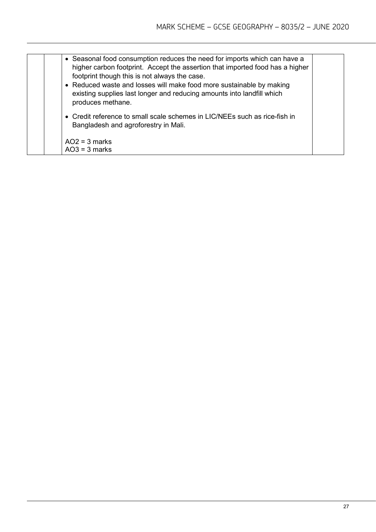| • Seasonal food consumption reduces the need for imports which can have a<br>higher carbon footprint. Accept the assertion that imported food has a higher<br>footprint though this is not always the case.<br>• Reduced waste and losses will make food more sustainable by making<br>existing supplies last longer and reducing amounts into landfill which<br>produces methane. |
|------------------------------------------------------------------------------------------------------------------------------------------------------------------------------------------------------------------------------------------------------------------------------------------------------------------------------------------------------------------------------------|
| • Credit reference to small scale schemes in LIC/NEEs such as rice-fish in<br>Bangladesh and agroforestry in Mali.                                                                                                                                                                                                                                                                 |
| $AO2 = 3$ marks<br>$AO3 = 3$ marks                                                                                                                                                                                                                                                                                                                                                 |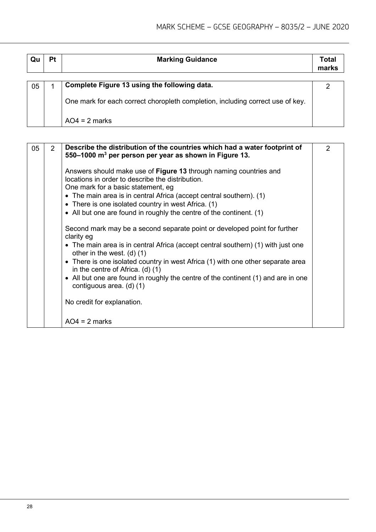| Qu | Pt | <b>Marking Guidance</b>                                                        | Total<br>marks |
|----|----|--------------------------------------------------------------------------------|----------------|
|    |    | Complete Figure 13 using the following data.                                   |                |
| 05 |    |                                                                                |                |
|    |    | One mark for each correct choropleth completion, including correct use of key. |                |
|    |    |                                                                                |                |
|    |    | $AO4 = 2$ marks                                                                |                |

| 05 | $\overline{2}$ | Describe the distribution of the countries which had a water footprint of<br>550–1000 m <sup>3</sup> per person per year as shown in Figure 13.                                                                                                                                                                                                                                                                                                                                                                                                                               | 2 |
|----|----------------|-------------------------------------------------------------------------------------------------------------------------------------------------------------------------------------------------------------------------------------------------------------------------------------------------------------------------------------------------------------------------------------------------------------------------------------------------------------------------------------------------------------------------------------------------------------------------------|---|
|    |                | Answers should make use of Figure 13 through naming countries and<br>locations in order to describe the distribution.<br>One mark for a basic statement, eg<br>• The main area is in central Africa (accept central southern). $(1)$<br>• There is one isolated country in west Africa. (1)                                                                                                                                                                                                                                                                                   |   |
|    |                | • All but one are found in roughly the centre of the continent. (1)<br>Second mark may be a second separate point or developed point for further<br>clarity eg<br>• The main area is in central Africa (accept central southern) (1) with just one<br>other in the west. $(d)$ $(1)$<br>• There is one isolated country in west Africa (1) with one other separate area<br>in the centre of Africa. (d) (1)<br>• All but one are found in roughly the centre of the continent (1) and are in one<br>contiguous area. (d) (1)<br>No credit for explanation.<br>$AO4 = 2$ marks |   |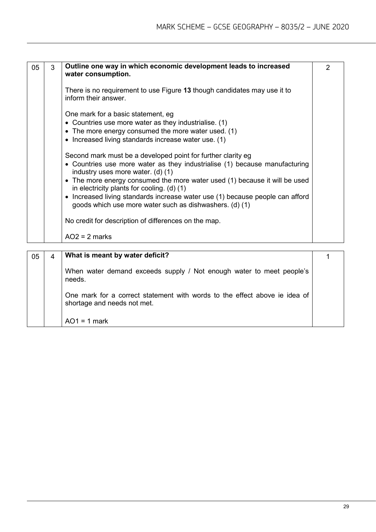| 05 | 3 | Outline one way in which economic development leads to increased<br>water consumption.                                                                                                                                                                                                                                                                                                                                                                                                                          | $\mathcal{P}$ |
|----|---|-----------------------------------------------------------------------------------------------------------------------------------------------------------------------------------------------------------------------------------------------------------------------------------------------------------------------------------------------------------------------------------------------------------------------------------------------------------------------------------------------------------------|---------------|
|    |   | There is no requirement to use Figure 13 though candidates may use it to<br>inform their answer.                                                                                                                                                                                                                                                                                                                                                                                                                |               |
|    |   | One mark for a basic statement, eg<br>• Countries use more water as they industrialise. (1)<br>• The more energy consumed the more water used. $(1)$<br>• Increased living standards increase water use. (1)                                                                                                                                                                                                                                                                                                    |               |
|    |   | Second mark must be a developed point for further clarity eg<br>• Countries use more water as they industrialise (1) because manufacturing<br>industry uses more water. (d) (1)<br>• The more energy consumed the more water used (1) because it will be used<br>in electricity plants for cooling. (d) (1)<br>• Increased living standards increase water use (1) because people can afford<br>goods which use more water such as dishwashers. (d) (1)<br>No credit for description of differences on the map. |               |
|    |   | $AO2 = 2$ marks                                                                                                                                                                                                                                                                                                                                                                                                                                                                                                 |               |
|    |   | $\mathbf{A} \mathbf{A} \mathbf{B}$ and $\mathbf{A} \mathbf{B}$ and $\mathbf{A} \mathbf{B}$<br>$\mathbf{A}$ . The state of the state of the state of the state of the state of the state of the state of the state of the state of the state of the state of the state of the state of the state of the state of the state of th                                                                                                                                                                                 |               |

| 05 | What is meant by water deficit?                                                                           |  |
|----|-----------------------------------------------------------------------------------------------------------|--|
|    | When water demand exceeds supply / Not enough water to meet people's<br>needs.                            |  |
|    | One mark for a correct statement with words to the effect above ie idea of<br>shortage and needs not met. |  |
|    | $AO1 = 1$ mark                                                                                            |  |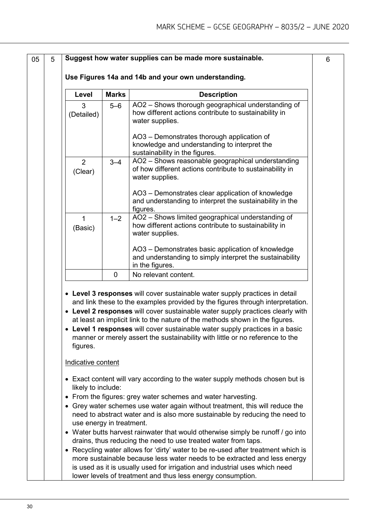| 05 | 5 |                                       |              | Suggest how water supplies can be made more sustainable.                                                                                                                                                                                                                                                                                                                                                                                                                                         |  |
|----|---|---------------------------------------|--------------|--------------------------------------------------------------------------------------------------------------------------------------------------------------------------------------------------------------------------------------------------------------------------------------------------------------------------------------------------------------------------------------------------------------------------------------------------------------------------------------------------|--|
|    |   |                                       |              | Use Figures 14a and 14b and your own understanding.                                                                                                                                                                                                                                                                                                                                                                                                                                              |  |
|    |   | Level                                 | <b>Marks</b> | <b>Description</b>                                                                                                                                                                                                                                                                                                                                                                                                                                                                               |  |
|    |   | 3<br>(Detailed)                       | $5 - 6$      | AO2 - Shows thorough geographical understanding of<br>how different actions contribute to sustainability in<br>water supplies.                                                                                                                                                                                                                                                                                                                                                                   |  |
|    |   |                                       |              | AO3 - Demonstrates thorough application of<br>knowledge and understanding to interpret the<br>sustainability in the figures.                                                                                                                                                                                                                                                                                                                                                                     |  |
|    |   | $\overline{2}$<br>(Clear)             | $3 - 4$      | AO2 - Shows reasonable geographical understanding<br>of how different actions contribute to sustainability in<br>water supplies.                                                                                                                                                                                                                                                                                                                                                                 |  |
|    |   |                                       |              | AO3 - Demonstrates clear application of knowledge<br>and understanding to interpret the sustainability in the<br>figures.                                                                                                                                                                                                                                                                                                                                                                        |  |
|    |   | $\mathbf{1}$<br>(Basic)               | $1 - 2$      | AO2 - Shows limited geographical understanding of<br>how different actions contribute to sustainability in<br>water supplies.                                                                                                                                                                                                                                                                                                                                                                    |  |
|    |   |                                       |              | AO3 - Demonstrates basic application of knowledge<br>and understanding to simply interpret the sustainability<br>in the figures.                                                                                                                                                                                                                                                                                                                                                                 |  |
|    |   |                                       | $\mathbf 0$  | No relevant content.                                                                                                                                                                                                                                                                                                                                                                                                                                                                             |  |
|    |   | figures.<br>Indicative content        |              | • Level 3 responses will cover sustainable water supply practices in detail<br>and link these to the examples provided by the figures through interpretation.<br>• Level 2 responses will cover sustainable water supply practices clearly with<br>at least an implicit link to the nature of the methods shown in the figures.<br>• Level 1 responses will cover sustainable water supply practices in a basic<br>manner or merely assert the sustainability with little or no reference to the |  |
|    |   | likely to include:<br>$\bullet$       |              | • Exact content will vary according to the water supply methods chosen but is<br>From the figures: grey water schemes and water harvesting.                                                                                                                                                                                                                                                                                                                                                      |  |
|    |   | $\bullet$<br>use energy in treatment. |              | Grey water schemes use water again without treatment, this will reduce the<br>need to abstract water and is also more sustainable by reducing the need to                                                                                                                                                                                                                                                                                                                                        |  |
|    |   |                                       |              | • Water butts harvest rainwater that would otherwise simply be runoff / go into<br>drains, thus reducing the need to use treated water from taps.                                                                                                                                                                                                                                                                                                                                                |  |
|    |   |                                       |              | • Recycling water allows for 'dirty' water to be re-used after treatment which is<br>more sustainable because less water needs to be extracted and less energy<br>is used as it is usually used for irrigation and industrial uses which need<br>lower levels of treatment and thus less energy consumption.                                                                                                                                                                                     |  |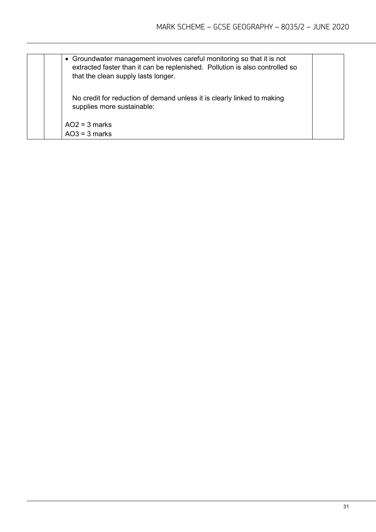| • Groundwater management involves careful monitoring so that it is not<br>extracted faster than it can be replenished. Pollution is also controlled so<br>that the clean supply lasts longer. |  |
|-----------------------------------------------------------------------------------------------------------------------------------------------------------------------------------------------|--|
| No credit for reduction of demand unless it is clearly linked to making<br>supplies more sustainable:                                                                                         |  |
| $AO2 = 3$ marks                                                                                                                                                                               |  |
| $AO3 = 3$ marks                                                                                                                                                                               |  |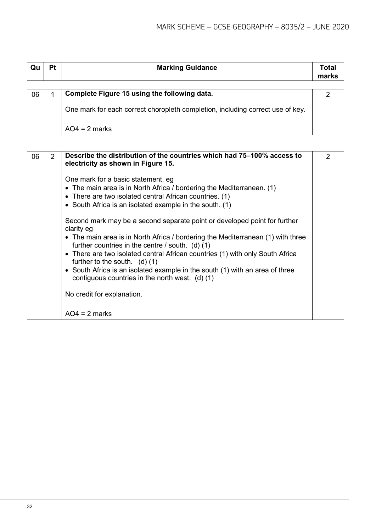| Qu | Pt | <b>Marking Guidance</b>                                                        |  |  |  |
|----|----|--------------------------------------------------------------------------------|--|--|--|
|    |    |                                                                                |  |  |  |
| 06 |    | Complete Figure 15 using the following data.                                   |  |  |  |
|    |    |                                                                                |  |  |  |
|    |    | One mark for each correct choropleth completion, including correct use of key. |  |  |  |
|    |    |                                                                                |  |  |  |
|    |    | $AO4 = 2$ marks                                                                |  |  |  |
|    |    |                                                                                |  |  |  |

| 06 | $\overline{2}$ | Describe the distribution of the countries which had 75–100% access to<br>electricity as shown in Figure 15.                                                                                                                                                                                                                                                                                                                                                                                                              | 2 |
|----|----------------|---------------------------------------------------------------------------------------------------------------------------------------------------------------------------------------------------------------------------------------------------------------------------------------------------------------------------------------------------------------------------------------------------------------------------------------------------------------------------------------------------------------------------|---|
|    |                | One mark for a basic statement, eg<br>• The main area is in North Africa / bordering the Mediterranean. $(1)$<br>• There are two isolated central African countries. (1)<br>• South Africa is an isolated example in the south. (1)                                                                                                                                                                                                                                                                                       |   |
|    |                | Second mark may be a second separate point or developed point for further<br>clarity eg<br>• The main area is in North Africa / bordering the Mediterranean (1) with three<br>further countries in the centre $/$ south. (d) $(1)$<br>• There are two isolated central African countries (1) with only South Africa<br>further to the south. $(d)$ (1)<br>• South Africa is an isolated example in the south (1) with an area of three<br>contiguous countries in the north west. $(d)$ (1)<br>No credit for explanation. |   |
|    |                | $AO4 = 2$ marks                                                                                                                                                                                                                                                                                                                                                                                                                                                                                                           |   |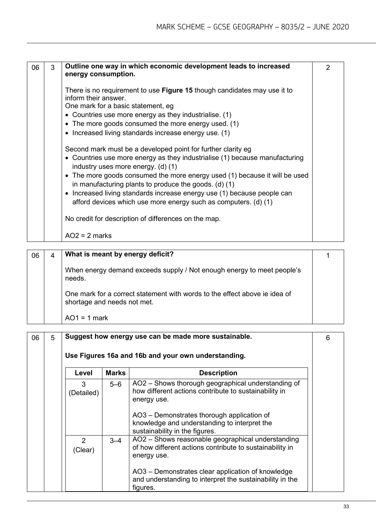| 06 | 3 | Outline one way in which economic development leads to increased<br>energy consumption.                                                                                                                                                                                                                                                                                                                                                                                                                                                             |  |
|----|---|-----------------------------------------------------------------------------------------------------------------------------------------------------------------------------------------------------------------------------------------------------------------------------------------------------------------------------------------------------------------------------------------------------------------------------------------------------------------------------------------------------------------------------------------------------|--|
|    |   | There is no requirement to use Figure 15 though candidates may use it to<br>inform their answer.<br>One mark for a basic statement, eg<br>• Countries use more energy as they industrialise. (1)<br>• The more goods consumed the more energy used. (1)<br>• Increased living standards increase energy use. (1)                                                                                                                                                                                                                                    |  |
|    |   | Second mark must be a developed point for further clarity eg<br>• Countries use more energy as they industrialise (1) because manufacturing<br>industry uses more energy. (d) (1)<br>• The more goods consumed the more energy used (1) because it will be used<br>in manufacturing plants to produce the goods. $(d)$ (1)<br>• Increased living standards increase energy use (1) because people can<br>afford devices which use more energy such as computers. (d) (1)<br>No credit for description of differences on the map.<br>$AO2 = 2$ marks |  |

| 06 | 4 | What is meant by energy deficit?                                                                          |  |
|----|---|-----------------------------------------------------------------------------------------------------------|--|
|    |   | When energy demand exceeds supply / Not enough energy to meet people's<br>needs.                          |  |
|    |   | One mark for a correct statement with words to the effect above ie idea of<br>shortage and needs not met. |  |
|    |   | $AO1 = 1$ mark                                                                                            |  |

| 06 | 5 |                          |              | Suggest how energy use can be made more sustainable.                                                                         | 6 |
|----|---|--------------------------|--------------|------------------------------------------------------------------------------------------------------------------------------|---|
|    |   |                          |              | Use Figures 16a and 16b and your own understanding.                                                                          |   |
|    |   | Level                    | <b>Marks</b> | <b>Description</b>                                                                                                           |   |
|    |   | 3<br>(Detailed)          | $5 - 6$      | AO2 - Shows thorough geographical understanding of<br>how different actions contribute to sustainability in<br>energy use.   |   |
|    |   |                          |              | AO3 – Demonstrates thorough application of<br>knowledge and understanding to interpret the<br>sustainability in the figures. |   |
|    |   | $\mathcal{P}$<br>(Clear) | $3 - 4$      | AO2 - Shows reasonable geographical understanding<br>of how different actions contribute to sustainability in<br>energy use. |   |
|    |   |                          |              | AO3 – Demonstrates clear application of knowledge<br>and understanding to interpret the sustainability in the<br>figures.    |   |